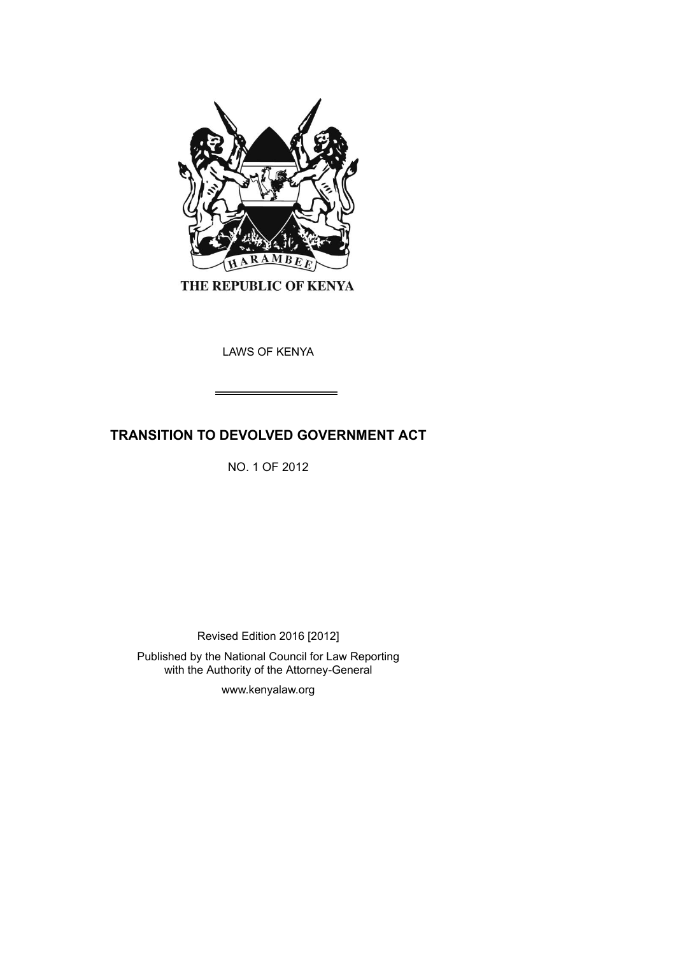

THE REPUBLIC OF KENYA

LAWS OF KENYA

# **TRANSITION TO DEVOLVED GOVERNMENT ACT**

NO. 1 OF 2012

Revised Edition 2016 [2012]

Published by the National Council for Law Reporting with the Authority of the Attorney-General

www.kenyalaw.org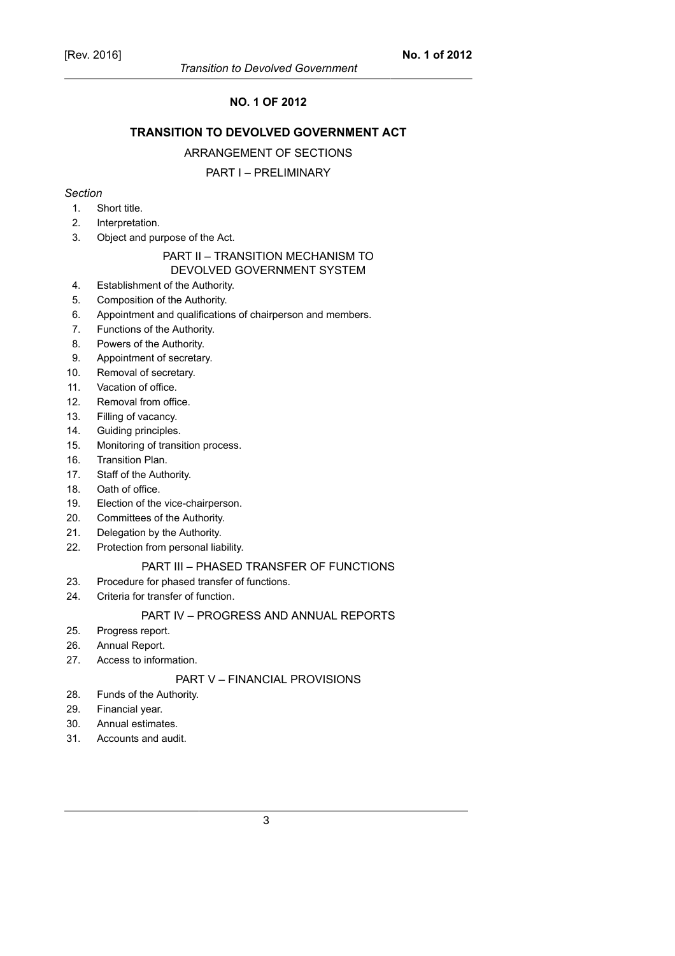### **NO. 1 OF 2012**

# **TRANSITION TO DEVOLVED GOVERNMENT ACT**

#### ARRANGEMENT OF SECTIONS

#### PART I – PRELIMINARY

# *Section*

- 1. Short title.
- 2. Interpretation.
- 3. Object and purpose of the Act.

#### PART II – TRANSITION MECHANISM TO DEVOLVED GOVERNMENT SYSTEM

- 4. Establishment of the Authority.
- 5. Composition of the Authority.
- 6. Appointment and qualifications of chairperson and members.
- 7. Functions of the Authority.
- 8. Powers of the Authority.
- 9. Appointment of secretary.
- 10. Removal of secretary.
- 11. Vacation of office.
- 12. Removal from office.
- 13. Filling of vacancy.
- 14. Guiding principles.
- 15. Monitoring of transition process.
- 16. Transition Plan.
- 17. Staff of the Authority.
- 18. Oath of office.
- 19. Election of the vice-chairperson.
- 20. Committees of the Authority.
- 21. Delegation by the Authority.
- 22. Protection from personal liability.

#### PART III – PHASED TRANSFER OF FUNCTIONS

- 23. Procedure for phased transfer of functions.
- 24. Criteria for transfer of function.

#### PART IV – PROGRESS AND ANNUAL REPORTS

- 25. Progress report.
- 26. Annual Report.
- 27. Access to information.

### PART V – FINANCIAL PROVISIONS

- 28. Funds of the Authority.
- 29. Financial year.
- 30. Annual estimates.
- 31. Accounts and audit.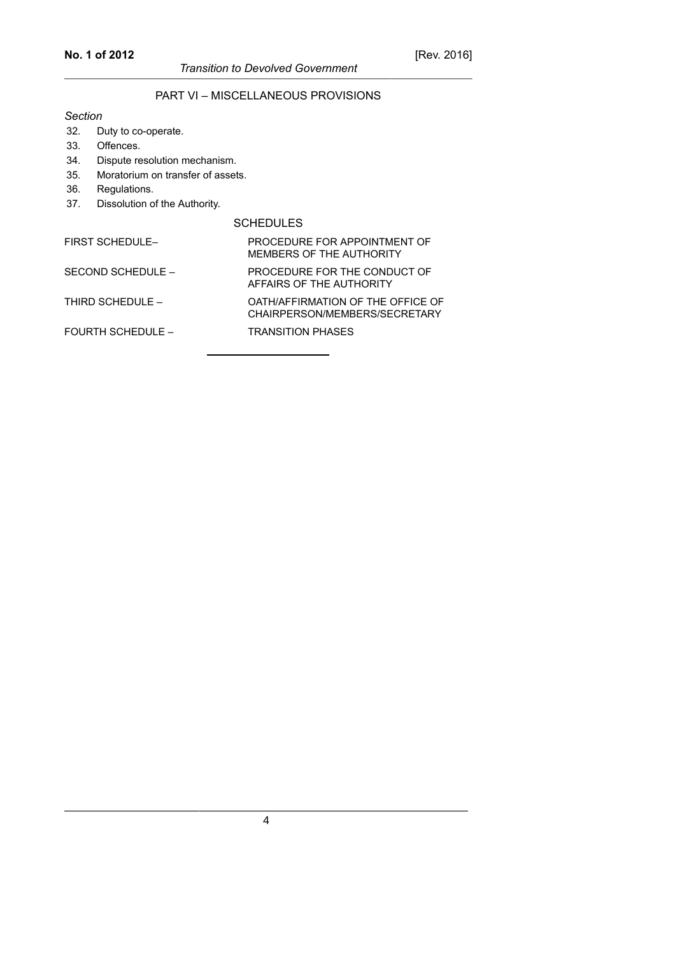# PART VI – MISCELLANEOUS PROVISIONS

#### *Section*

- 32. Duty to co-operate.
- 33. Offences.
- 34. Dispute resolution mechanism.
- 35. Moratorium on transfer of assets.
- 36. Regulations.
- 37. Dissolution of the Authority.

#### SCHEDULES

| <b>FIRST SCHEDULE-</b>   | PROCEDURE FOR APPOINTMENT OF<br>MEMBERS OF THE AUTHORITY           |
|--------------------------|--------------------------------------------------------------------|
| SECOND SCHEDULE -        | PROCEDURE FOR THE CONDUCT OF<br>AFFAIRS OF THE AUTHORITY           |
| THIRD SCHEDULE -         | OATH/AFFIRMATION OF THE OFFICE OF<br>CHAIRPERSON/MEMBERS/SECRETARY |
| <b>FOURTH SCHEDULE -</b> | <b>TRANSITION PHASES</b>                                           |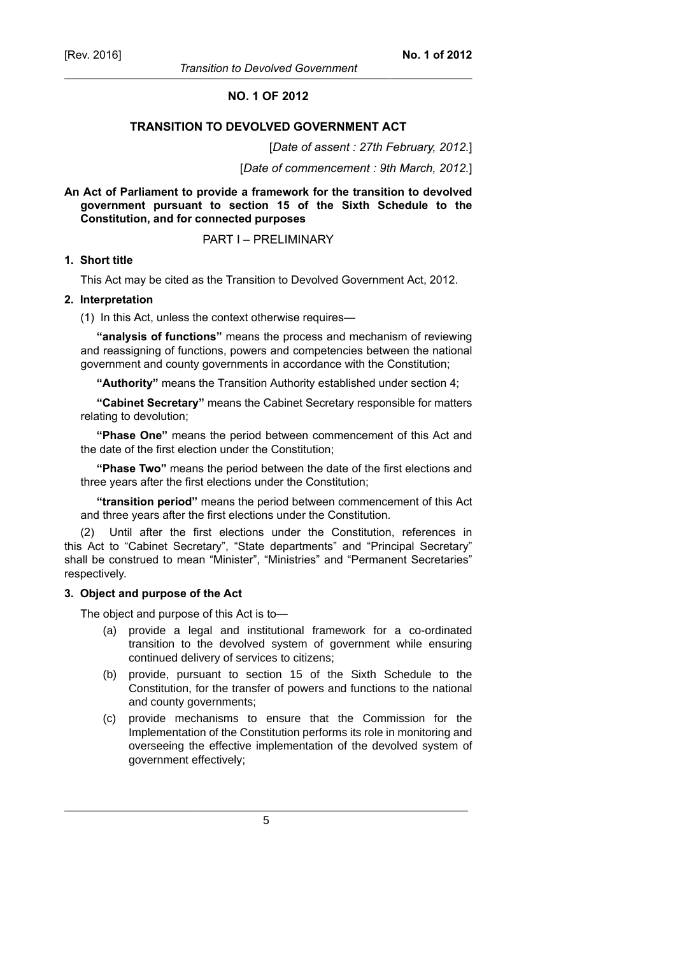### **NO. 1 OF 2012**

#### **TRANSITION TO DEVOLVED GOVERNMENT ACT**

#### [*Date of assent : 27th February, 2012.*]

[*Date of commencement : 9th March, 2012.*]

#### **An Act of Parliament to provide a framework for the transition to devolved government pursuant to section 15 of the Sixth Schedule to the Constitution, and for connected purposes**

#### PART I – PRELIMINARY

#### **1. Short title**

This Act may be cited as the Transition to Devolved Government Act, 2012.

#### **2. Interpretation**

(1) In this Act, unless the context otherwise requires—

**"analysis of functions"** means the process and mechanism of reviewing and reassigning of functions, powers and competencies between the national government and county governments in accordance with the Constitution;

**"Authority"** means the Transition Authority established under section 4;

**"Cabinet Secretary"** means the Cabinet Secretary responsible for matters relating to devolution;

**"Phase One"** means the period between commencement of this Act and the date of the first election under the Constitution;

**"Phase Two"** means the period between the date of the first elections and three years after the first elections under the Constitution;

**"transition period"** means the period between commencement of this Act and three years after the first elections under the Constitution.

Until after the first elections under the Constitution, references in this Act to "Cabinet Secretary", "State departments" and "Principal Secretary" shall be construed to mean "Minister", "Ministries" and "Permanent Secretaries" respectively.

#### **3. Object and purpose of the Act**

The object and purpose of this Act is to—

- (a) provide a legal and institutional framework for a co-ordinated transition to the devolved system of government while ensuring continued delivery of services to citizens;
- (b) provide, pursuant to section 15 of the Sixth Schedule to the Constitution, for the transfer of powers and functions to the national and county governments;
- (c) provide mechanisms to ensure that the Commission for the Implementation of the Constitution performs its role in monitoring and overseeing the effective implementation of the devolved system of government effectively;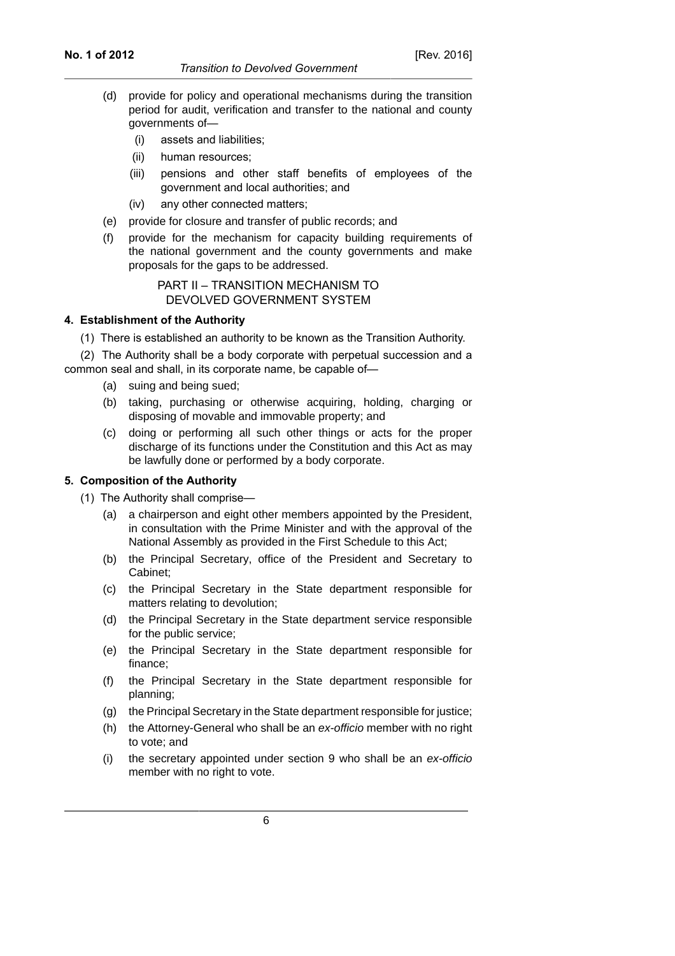#### *Transition to Devolved Government*

- (d) provide for policy and operational mechanisms during the transition period for audit, verification and transfer to the national and county governments of—
	- (i) assets and liabilities;
	- (ii) human resources;
	- (iii) pensions and other staff benefits of employees of the government and local authorities; and
	- (iv) any other connected matters;
- (e) provide for closure and transfer of public records; and
- (f) provide for the mechanism for capacity building requirements of the national government and the county governments and make proposals for the gaps to be addressed.

PART II – TRANSITION MECHANISM TO DEVOLVED GOVERNMENT SYSTEM

#### **4. Establishment of the Authority**

(1) There is established an authority to be known as the Transition Authority.

(2) The Authority shall be a body corporate with perpetual succession and a common seal and shall, in its corporate name, be capable of—

- (a) suing and being sued;
- (b) taking, purchasing or otherwise acquiring, holding, charging or disposing of movable and immovable property; and
- (c) doing or performing all such other things or acts for the proper discharge of its functions under the Constitution and this Act as may be lawfully done or performed by a body corporate.

### **5. Composition of the Authority**

(1) The Authority shall comprise—

- (a) a chairperson and eight other members appointed by the President, in consultation with the Prime Minister and with the approval of the National Assembly as provided in the First Schedule to this Act;
- (b) the Principal Secretary, office of the President and Secretary to Cabinet;
- (c) the Principal Secretary in the State department responsible for matters relating to devolution;
- (d) the Principal Secretary in the State department service responsible for the public service;
- (e) the Principal Secretary in the State department responsible for finance;
- (f) the Principal Secretary in the State department responsible for planning;
- (g) the Principal Secretary in the State department responsible for justice;
- (h) the Attorney-General who shall be an ex-officio member with no right to vote; and
- (i) the secretary appointed under section 9 who shall be an ex-officio member with no right to vote.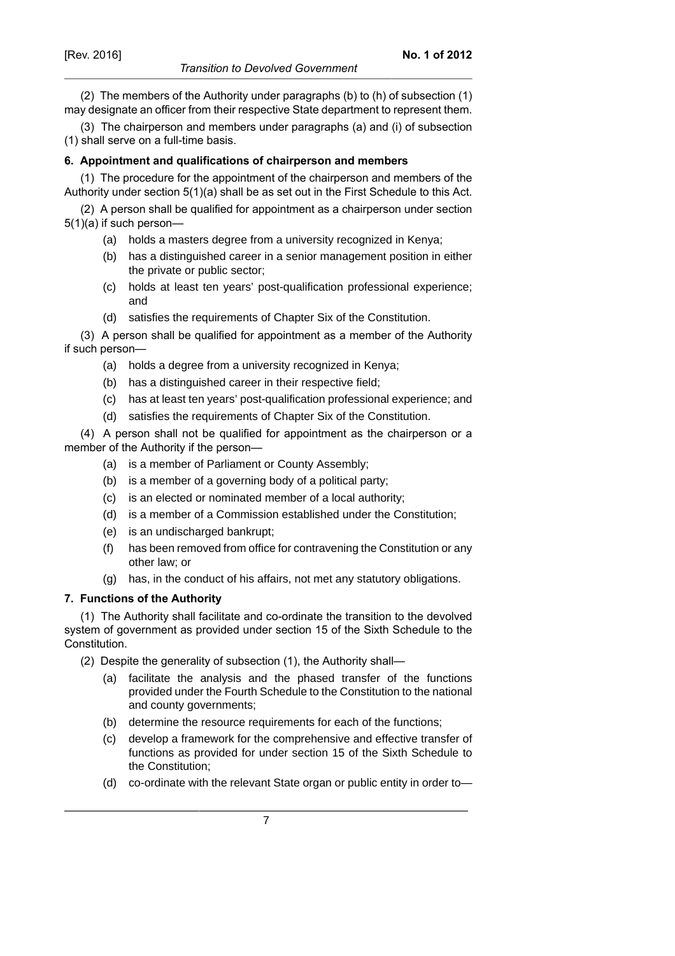### *Transition to Devolved Government*

(2) The members of the Authority under paragraphs (b) to (h) of subsection (1) may designate an officer from their respective State department to represent them.

(3) The chairperson and members under paragraphs (a) and (i) of subsection (1) shall serve on a full-time basis.

### **6. Appointment and qualifications of chairperson and members**

(1) The procedure for the appointment of the chairperson and members of the Authority under section 5(1)(a) shall be as set out in the First Schedule to this Act.

(2) A person shall be qualified for appointment as a chairperson under section 5(1)(a) if such person—

- (a) holds a masters degree from a university recognized in Kenya;
- (b) has a distinguished career in a senior management position in either the private or public sector;
- (c) holds at least ten years' post-qualification professional experience; and
- (d) satisfies the requirements of Chapter Six of the Constitution.

(3) A person shall be qualified for appointment as a member of the Authority if such person—

- (a) holds a degree from a university recognized in Kenya;
- (b) has a distinguished career in their respective field;
- (c) has at least ten years' post-qualification professional experience; and
- (d) satisfies the requirements of Chapter Six of the Constitution.

(4) A person shall not be qualified for appointment as the chairperson or a member of the Authority if the person—

- (a) is a member of Parliament or County Assembly;
- (b) is a member of a governing body of a political party;
- (c) is an elected or nominated member of a local authority;
- (d) is a member of a Commission established under the Constitution;
- (e) is an undischarged bankrupt;
- (f) has been removed from office for contravening the Constitution or any other law; or
- (g) has, in the conduct of his affairs, not met any statutory obligations.

### **7. Functions of the Authority**

(1) The Authority shall facilitate and co-ordinate the transition to the devolved system of government as provided under section 15 of the Sixth Schedule to the Constitution.

(2) Despite the generality of subsection (1), the Authority shall—

- (a) facilitate the analysis and the phased transfer of the functions provided under the Fourth Schedule to the Constitution to the national and county governments;
- (b) determine the resource requirements for each of the functions;
- (c) develop a framework for the comprehensive and effective transfer of functions as provided for under section 15 of the Sixth Schedule to the Constitution;
- (d) co-ordinate with the relevant State organ or public entity in order to—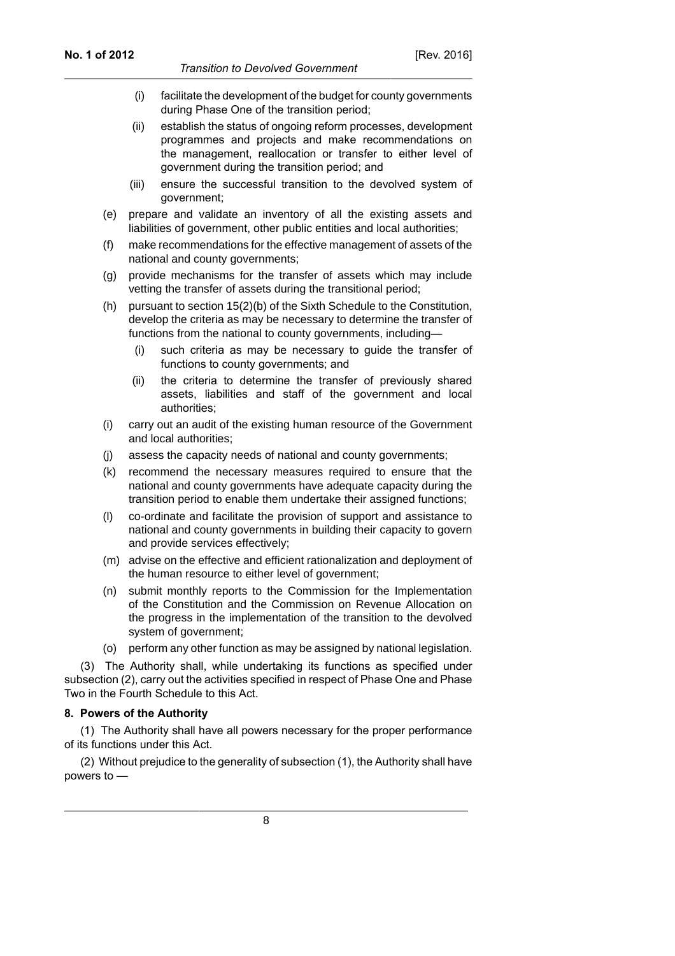- (i) facilitate the development of the budget for county governments during Phase One of the transition period;
- (ii) establish the status of ongoing reform processes, development programmes and projects and make recommendations on the management, reallocation or transfer to either level of government during the transition period; and
- (iii) ensure the successful transition to the devolved system of government;
- (e) prepare and validate an inventory of all the existing assets and liabilities of government, other public entities and local authorities;
- (f) make recommendations for the effective management of assets of the national and county governments;
- (g) provide mechanisms for the transfer of assets which may include vetting the transfer of assets during the transitional period;
- (h) pursuant to section 15(2)(b) of the Sixth Schedule to the Constitution, develop the criteria as may be necessary to determine the transfer of functions from the national to county governments, including—
	- (i) such criteria as may be necessary to guide the transfer of functions to county governments; and
	- (ii) the criteria to determine the transfer of previously shared assets, liabilities and staff of the government and local authorities;
- (i) carry out an audit of the existing human resource of the Government and local authorities;
- (j) assess the capacity needs of national and county governments;
- (k) recommend the necessary measures required to ensure that the national and county governments have adequate capacity during the transition period to enable them undertake their assigned functions;
- (l) co-ordinate and facilitate the provision of support and assistance to national and county governments in building their capacity to govern and provide services effectively;
- (m) advise on the effective and efficient rationalization and deployment of the human resource to either level of government;
- (n) submit monthly reports to the Commission for the Implementation of the Constitution and the Commission on Revenue Allocation on the progress in the implementation of the transition to the devolved system of government;
- (o) perform any other function as may be assigned by national legislation.

(3) The Authority shall, while undertaking its functions as specified under subsection (2), carry out the activities specified in respect of Phase One and Phase Two in the Fourth Schedule to this Act.

#### **8. Powers of the Authority**

(1) The Authority shall have all powers necessary for the proper performance of its functions under this Act.

(2) Without prejudice to the generality of subsection (1), the Authority shall have powers to —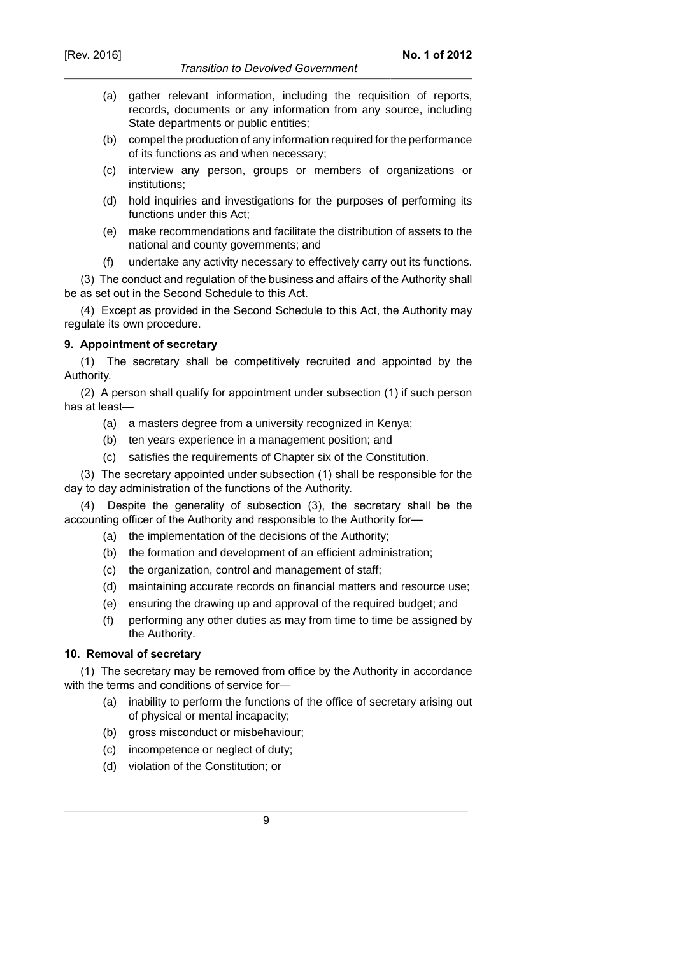- (a) gather relevant information, including the requisition of reports, records, documents or any information from any source, including State departments or public entities;
- (b) compel the production of any information required for the performance of its functions as and when necessary;
- (c) interview any person, groups or members of organizations or institutions;
- (d) hold inquiries and investigations for the purposes of performing its functions under this Act;
- (e) make recommendations and facilitate the distribution of assets to the national and county governments; and
- (f) undertake any activity necessary to effectively carry out its functions.

(3) The conduct and regulation of the business and affairs of the Authority shall be as set out in the Second Schedule to this Act.

(4) Except as provided in the Second Schedule to this Act, the Authority may regulate its own procedure.

### **9. Appointment of secretary**

(1) The secretary shall be competitively recruited and appointed by the Authority.

(2) A person shall qualify for appointment under subsection (1) if such person has at least—

- (a) a masters degree from a university recognized in Kenya;
- (b) ten years experience in a management position; and
- (c) satisfies the requirements of Chapter six of the Constitution.

(3) The secretary appointed under subsection (1) shall be responsible for the day to day administration of the functions of the Authority.

Despite the generality of subsection (3), the secretary shall be the accounting officer of the Authority and responsible to the Authority for—

- (a) the implementation of the decisions of the Authority;
- (b) the formation and development of an efficient administration;
- (c) the organization, control and management of staff;
- (d) maintaining accurate records on financial matters and resource use;
- (e) ensuring the drawing up and approval of the required budget; and
- (f) performing any other duties as may from time to time be assigned by the Authority.

### **10. Removal of secretary**

(1) The secretary may be removed from office by the Authority in accordance with the terms and conditions of service for—

- (a) inability to perform the functions of the office of secretary arising out of physical or mental incapacity;
- (b) gross misconduct or misbehaviour;
- (c) incompetence or neglect of duty;
- (d) violation of the Constitution; or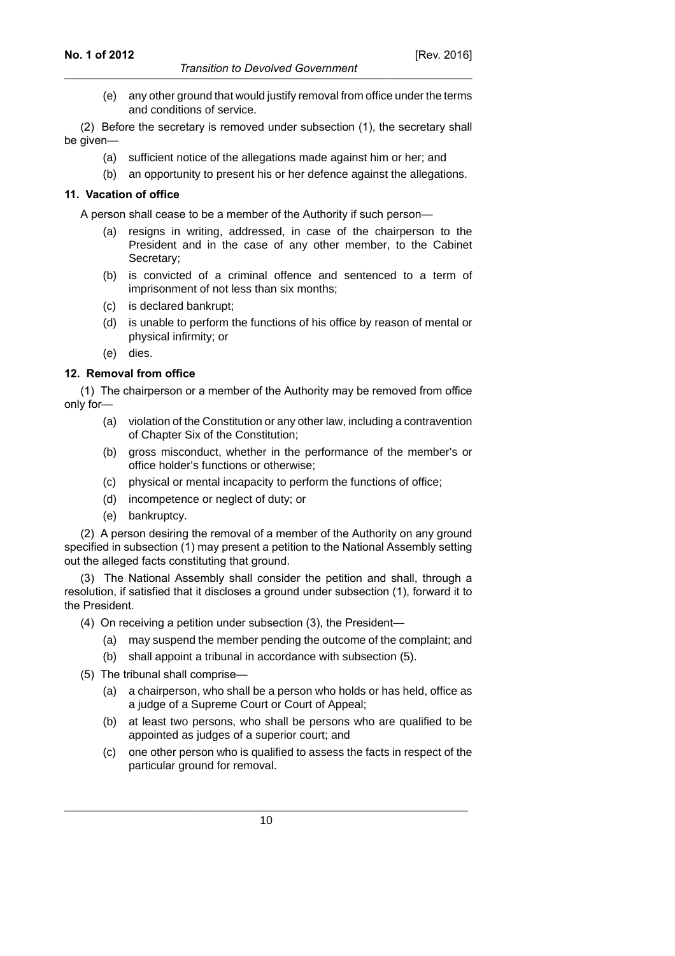(e) any other ground that would justify removal from office under the terms and conditions of service.

(2) Before the secretary is removed under subsection (1), the secretary shall be given—

- (a) sufficient notice of the allegations made against him or her; and
- (b) an opportunity to present his or her defence against the allegations.

### **11. Vacation of office**

A person shall cease to be a member of the Authority if such person—

- (a) resigns in writing, addressed, in case of the chairperson to the President and in the case of any other member, to the Cabinet Secretary;
- (b) is convicted of a criminal offence and sentenced to a term of imprisonment of not less than six months;
- (c) is declared bankrupt;
- (d) is unable to perform the functions of his office by reason of mental or physical infirmity; or
- (e) dies.

### **12. Removal from office**

(1) The chairperson or a member of the Authority may be removed from office only for—

- (a) violation of the Constitution or any other law, including a contravention of Chapter Six of the Constitution;
- (b) gross misconduct, whether in the performance of the member's or office holder's functions or otherwise;
- (c) physical or mental incapacity to perform the functions of office;
- (d) incompetence or neglect of duty; or
- (e) bankruptcy.

(2) A person desiring the removal of a member of the Authority on any ground specified in subsection (1) may present a petition to the National Assembly setting out the alleged facts constituting that ground.

(3) The National Assembly shall consider the petition and shall, through a resolution, if satisfied that it discloses a ground under subsection (1), forward it to the President.

- (4) On receiving a petition under subsection (3), the President—
	- (a) may suspend the member pending the outcome of the complaint; and
	- (b) shall appoint a tribunal in accordance with subsection (5).
- (5) The tribunal shall comprise—
	- (a) a chairperson, who shall be a person who holds or has held, office as a judge of a Supreme Court or Court of Appeal;
	- (b) at least two persons, who shall be persons who are qualified to be appointed as judges of a superior court; and
	- (c) one other person who is qualified to assess the facts in respect of the particular ground for removal.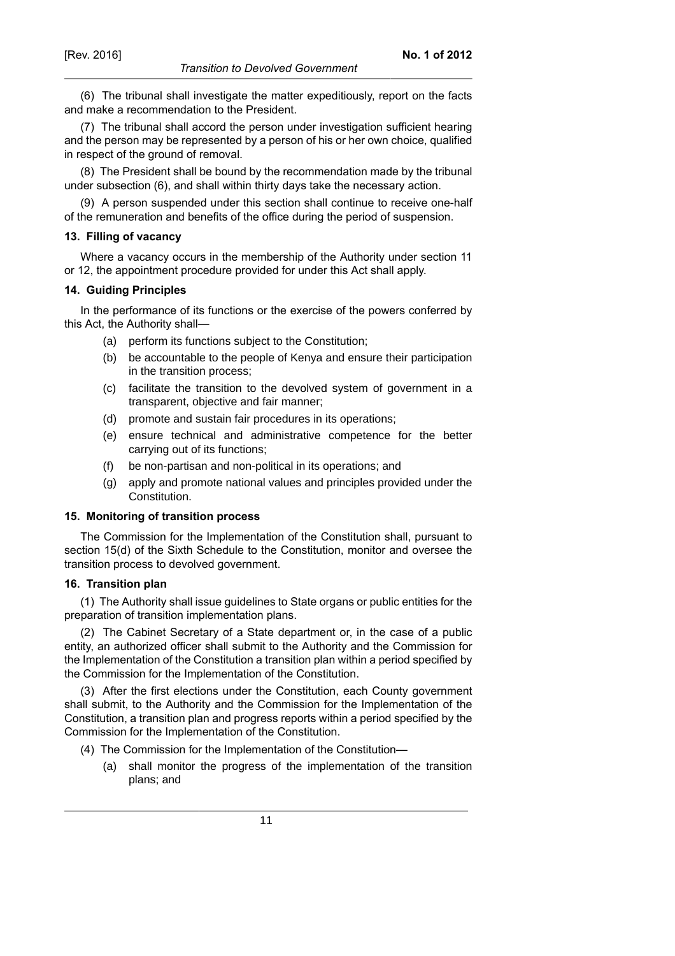(6) The tribunal shall investigate the matter expeditiously, report on the facts and make a recommendation to the President.

(7) The tribunal shall accord the person under investigation sufficient hearing and the person may be represented by a person of his or her own choice, qualified in respect of the ground of removal.

(8) The President shall be bound by the recommendation made by the tribunal under subsection (6), and shall within thirty days take the necessary action.

(9) A person suspended under this section shall continue to receive one-half of the remuneration and benefits of the office during the period of suspension.

### **13. Filling of vacancy**

Where a vacancy occurs in the membership of the Authority under section 11 or 12, the appointment procedure provided for under this Act shall apply.

#### **14. Guiding Principles**

In the performance of its functions or the exercise of the powers conferred by this Act, the Authority shall—

- (a) perform its functions subject to the Constitution;
- (b) be accountable to the people of Kenya and ensure their participation in the transition process;
- (c) facilitate the transition to the devolved system of government in a transparent, objective and fair manner;
- (d) promote and sustain fair procedures in its operations;
- (e) ensure technical and administrative competence for the better carrying out of its functions;
- (f) be non-partisan and non-political in its operations; and
- (g) apply and promote national values and principles provided under the Constitution.

#### **15. Monitoring of transition process**

The Commission for the Implementation of the Constitution shall, pursuant to section 15(d) of the Sixth Schedule to the Constitution, monitor and oversee the transition process to devolved government.

### **16. Transition plan**

(1) The Authority shall issue guidelines to State organs or public entities for the preparation of transition implementation plans.

(2) The Cabinet Secretary of a State department or, in the case of a public entity, an authorized officer shall submit to the Authority and the Commission for the Implementation of the Constitution a transition plan within a period specified by the Commission for the Implementation of the Constitution.

(3) After the first elections under the Constitution, each County government shall submit, to the Authority and the Commission for the Implementation of the Constitution, a transition plan and progress reports within a period specified by the Commission for the Implementation of the Constitution.

- (4) The Commission for the Implementation of the Constitution—
	- (a) shall monitor the progress of the implementation of the transition plans; and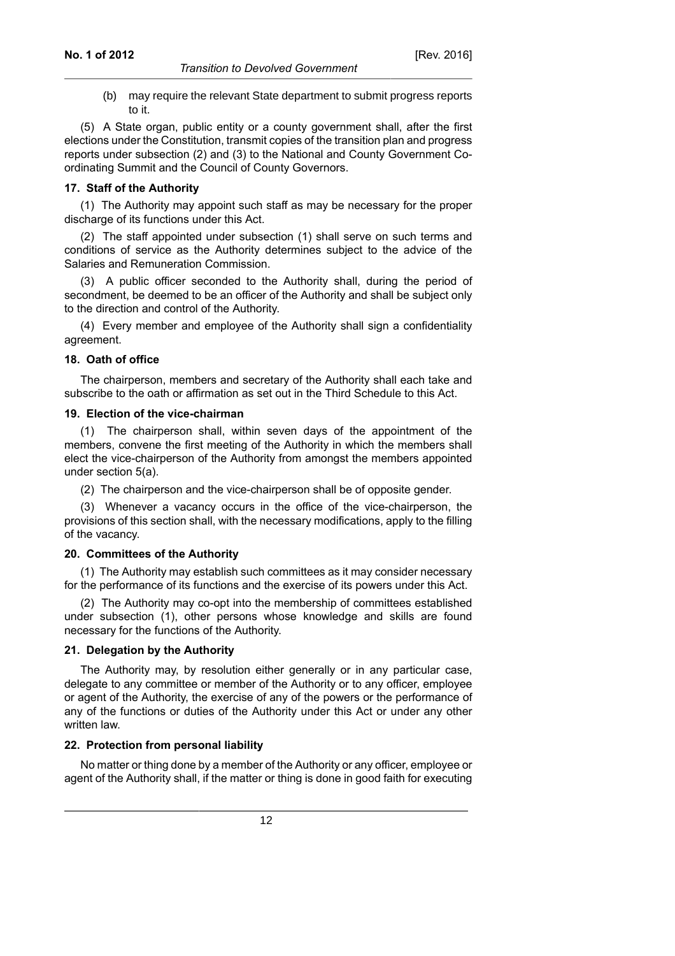(b) may require the relevant State department to submit progress reports to it.

(5) A State organ, public entity or a county government shall, after the first elections under the Constitution, transmit copies of the transition plan and progress reports under subsection (2) and (3) to the National and County Government Coordinating Summit and the Council of County Governors.

#### **17. Staff of the Authority**

(1) The Authority may appoint such staff as may be necessary for the proper discharge of its functions under this Act.

(2) The staff appointed under subsection (1) shall serve on such terms and conditions of service as the Authority determines subject to the advice of the Salaries and Remuneration Commission.

(3) A public officer seconded to the Authority shall, during the period of secondment, be deemed to be an officer of the Authority and shall be subject only to the direction and control of the Authority.

(4) Every member and employee of the Authority shall sign a confidentiality agreement.

#### **18. Oath of office**

The chairperson, members and secretary of the Authority shall each take and subscribe to the oath or affirmation as set out in the Third Schedule to this Act.

#### **19. Election of the vice-chairman**

(1) The chairperson shall, within seven days of the appointment of the members, convene the first meeting of the Authority in which the members shall elect the vice-chairperson of the Authority from amongst the members appointed under section 5(a).

(2) The chairperson and the vice-chairperson shall be of opposite gender.

(3) Whenever a vacancy occurs in the office of the vice-chairperson, the provisions of this section shall, with the necessary modifications, apply to the filling of the vacancy.

### **20. Committees of the Authority**

(1) The Authority may establish such committees as it may consider necessary for the performance of its functions and the exercise of its powers under this Act.

(2) The Authority may co-opt into the membership of committees established under subsection (1), other persons whose knowledge and skills are found necessary for the functions of the Authority.

#### **21. Delegation by the Authority**

The Authority may, by resolution either generally or in any particular case, delegate to any committee or member of the Authority or to any officer, employee or agent of the Authority, the exercise of any of the powers or the performance of any of the functions or duties of the Authority under this Act or under any other written law.

### **22. Protection from personal liability**

No matter or thing done by a member of the Authority or any officer, employee or agent of the Authority shall, if the matter or thing is done in good faith for executing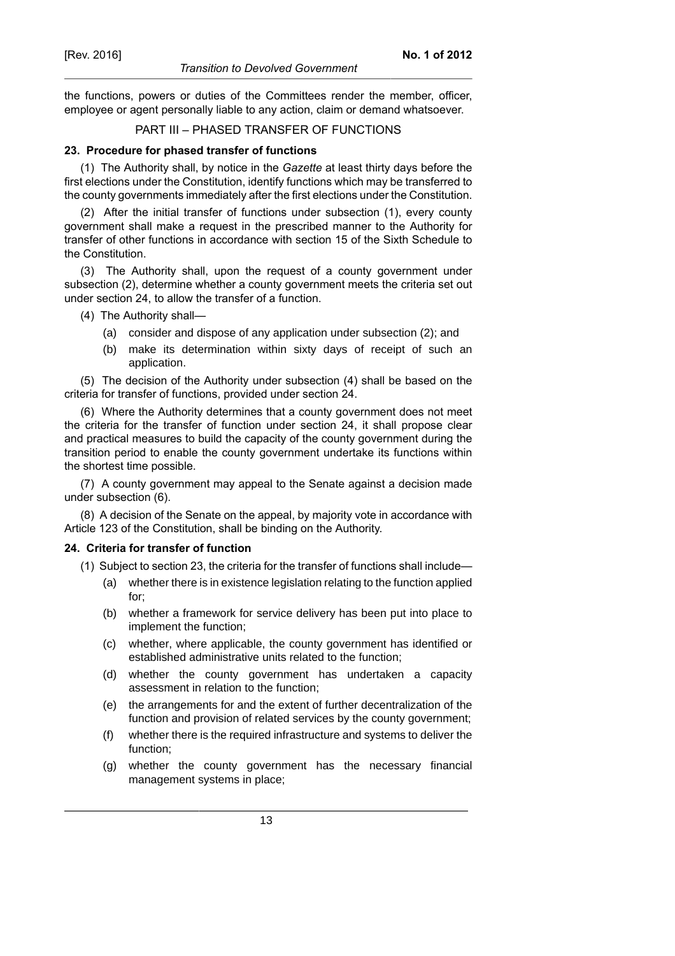the functions, powers or duties of the Committees render the member, officer, employee or agent personally liable to any action, claim or demand whatsoever.

### PART III – PHASED TRANSFER OF FUNCTIONS

# **23. Procedure for phased transfer of functions**

(1) The Authority shall, by notice in the *Gazette* at least thirty days before the first elections under the Constitution, identify functions which may be transferred to the county governments immediately after the first elections under the Constitution.

(2) After the initial transfer of functions under subsection (1), every county government shall make a request in the prescribed manner to the Authority for transfer of other functions in accordance with section 15 of the Sixth Schedule to the Constitution.

(3) The Authority shall, upon the request of a county government under subsection (2), determine whether a county government meets the criteria set out under section 24, to allow the transfer of a function.

- (4) The Authority shall—
	- (a) consider and dispose of any application under subsection (2); and
	- (b) make its determination within sixty days of receipt of such an application.

(5) The decision of the Authority under subsection (4) shall be based on the criteria for transfer of functions, provided under section 24.

(6) Where the Authority determines that a county government does not meet the criteria for the transfer of function under section 24, it shall propose clear and practical measures to build the capacity of the county government during the transition period to enable the county government undertake its functions within the shortest time possible.

(7) A county government may appeal to the Senate against a decision made under subsection (6).

(8) A decision of the Senate on the appeal, by majority vote in accordance with Article 123 of the Constitution, shall be binding on the Authority.

# **24. Criteria for transfer of function**

- (1) Subject to section 23, the criteria for the transfer of functions shall include—
	- (a) whether there is in existence legislation relating to the function applied for;
	- (b) whether a framework for service delivery has been put into place to implement the function;
	- (c) whether, where applicable, the county government has identified or established administrative units related to the function;
	- (d) whether the county government has undertaken a capacity assessment in relation to the function;
	- (e) the arrangements for and the extent of further decentralization of the function and provision of related services by the county government;
	- (f) whether there is the required infrastructure and systems to deliver the function;
	- (g) whether the county government has the necessary financial management systems in place;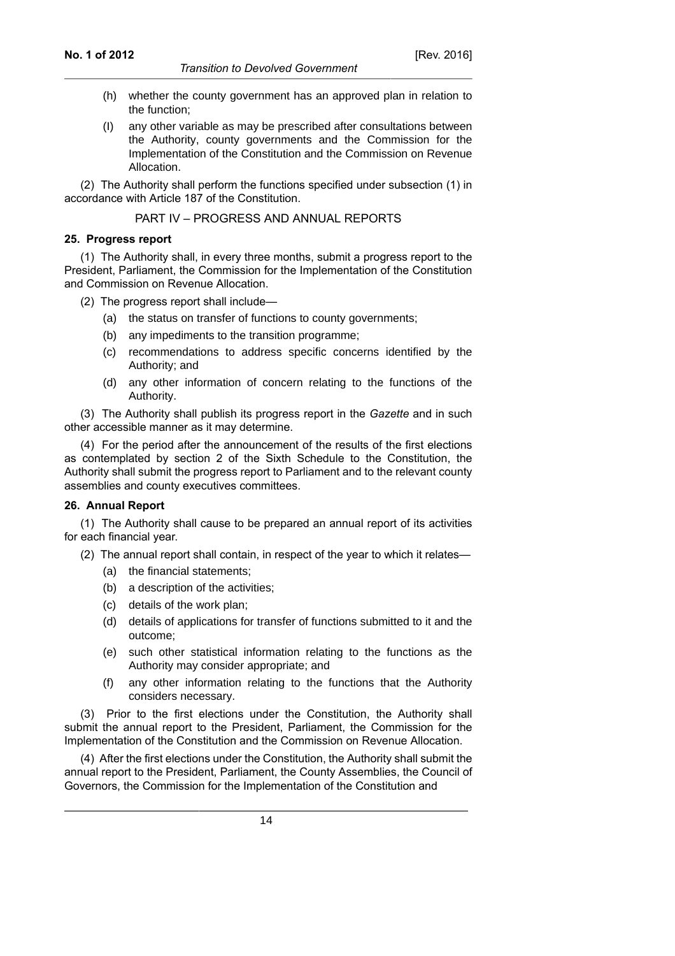- (h) whether the county government has an approved plan in relation to the function;
- (I) any other variable as may be prescribed after consultations between the Authority, county governments and the Commission for the Implementation of the Constitution and the Commission on Revenue Allocation.

(2) The Authority shall perform the functions specified under subsection (1) in accordance with Article 187 of the Constitution.

PART IV – PROGRESS AND ANNUAL REPORTS

#### **25. Progress report**

(1) The Authority shall, in every three months, submit a progress report to the President, Parliament, the Commission for the Implementation of the Constitution and Commission on Revenue Allocation.

(2) The progress report shall include—

- (a) the status on transfer of functions to county governments;
- (b) any impediments to the transition programme;
- (c) recommendations to address specific concerns identified by the Authority; and
- (d) any other information of concern relating to the functions of the Authority.

(3) The Authority shall publish its progress report in the *Gazette* and in such other accessible manner as it may determine.

(4) For the period after the announcement of the results of the first elections as contemplated by section 2 of the Sixth Schedule to the Constitution, the Authority shall submit the progress report to Parliament and to the relevant county assemblies and county executives committees.

### **26. Annual Report**

(1) The Authority shall cause to be prepared an annual report of its activities for each financial year.

(2) The annual report shall contain, in respect of the year to which it relates—

- (a) the financial statements;
- (b) a description of the activities;
- (c) details of the work plan;
- (d) details of applications for transfer of functions submitted to it and the outcome;
- (e) such other statistical information relating to the functions as the Authority may consider appropriate; and
- (f) any other information relating to the functions that the Authority considers necessary.

(3) Prior to the first elections under the Constitution, the Authority shall submit the annual report to the President, Parliament, the Commission for the Implementation of the Constitution and the Commission on Revenue Allocation.

(4) After the first elections under the Constitution, the Authority shall submit the annual report to the President, Parliament, the County Assemblies, the Council of Governors, the Commission for the Implementation of the Constitution and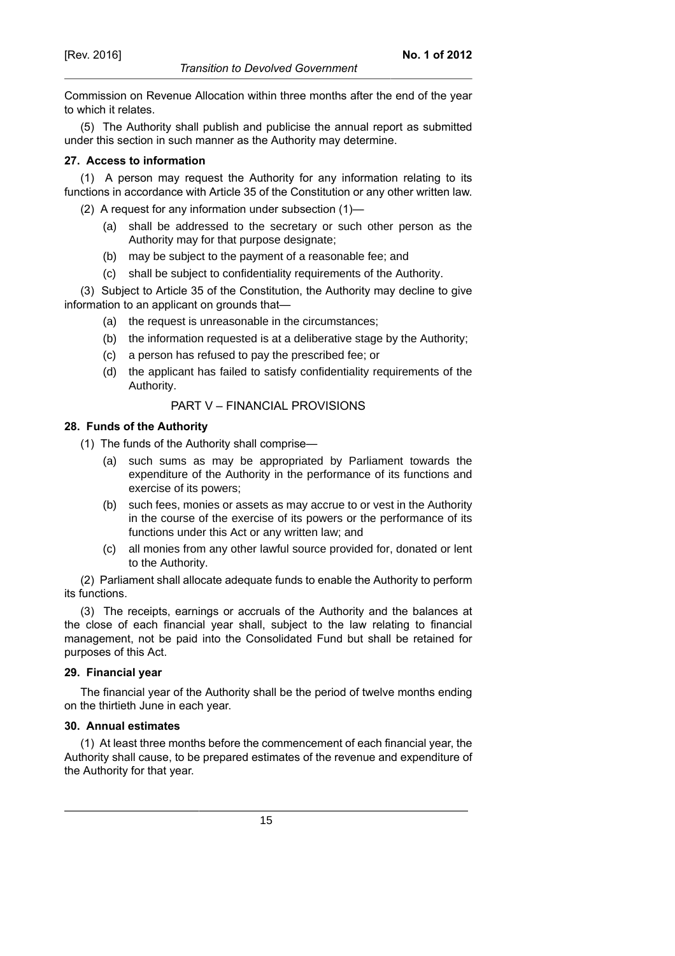Commission on Revenue Allocation within three months after the end of the year to which it relates.

(5) The Authority shall publish and publicise the annual report as submitted under this section in such manner as the Authority may determine.

### **27. Access to information**

(1) A person may request the Authority for any information relating to its functions in accordance with Article 35 of the Constitution or any other written law.

- (2) A request for any information under subsection (1)—
	- (a) shall be addressed to the secretary or such other person as the Authority may for that purpose designate;
	- (b) may be subject to the payment of a reasonable fee; and
	- (c) shall be subject to confidentiality requirements of the Authority.

(3) Subject to Article 35 of the Constitution, the Authority may decline to give information to an applicant on grounds that—

- (a) the request is unreasonable in the circumstances;
- (b) the information requested is at a deliberative stage by the Authority;
- (c) a person has refused to pay the prescribed fee; or
- (d) the applicant has failed to satisfy confidentiality requirements of the Authority.

### PART V – FINANCIAL PROVISIONS

#### **28. Funds of the Authority**

- (1) The funds of the Authority shall comprise—
	- (a) such sums as may be appropriated by Parliament towards the expenditure of the Authority in the performance of its functions and exercise of its powers;
	- (b) such fees, monies or assets as may accrue to or vest in the Authority in the course of the exercise of its powers or the performance of its functions under this Act or any written law; and
	- (c) all monies from any other lawful source provided for, donated or lent to the Authority.

(2) Parliament shall allocate adequate funds to enable the Authority to perform its functions.

(3) The receipts, earnings or accruals of the Authority and the balances at the close of each financial year shall, subject to the law relating to financial management, not be paid into the Consolidated Fund but shall be retained for purposes of this Act.

### **29. Financial year**

The financial year of the Authority shall be the period of twelve months ending on the thirtieth June in each year.

### **30. Annual estimates**

(1) At least three months before the commencement of each financial year, the Authority shall cause, to be prepared estimates of the revenue and expenditure of the Authority for that year.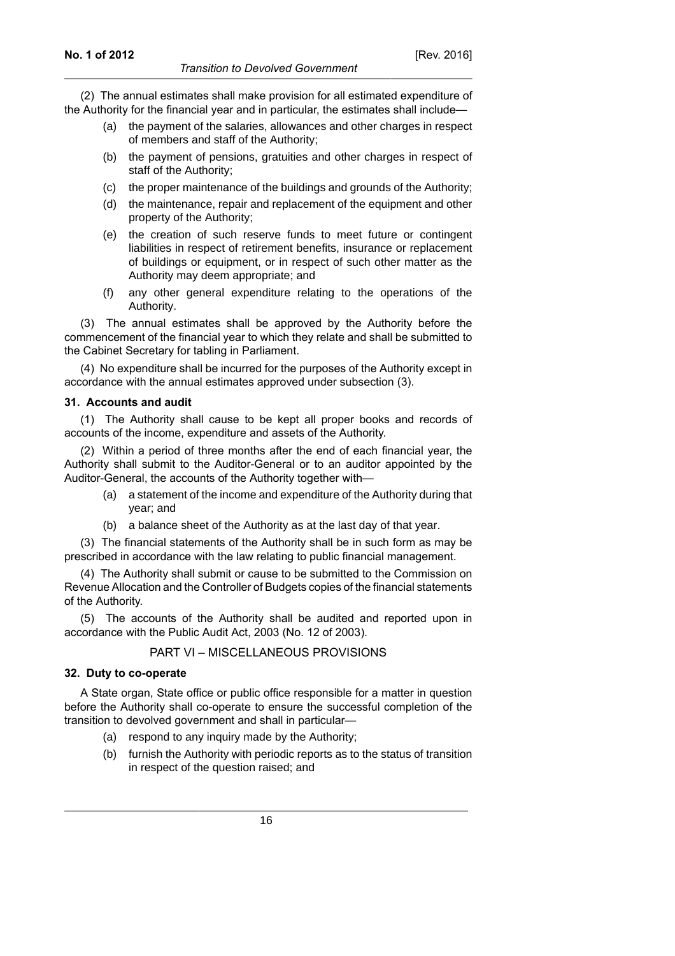(2) The annual estimates shall make provision for all estimated expenditure of the Authority for the financial year and in particular, the estimates shall include—

- (a) the payment of the salaries, allowances and other charges in respect of members and staff of the Authority;
- (b) the payment of pensions, gratuities and other charges in respect of staff of the Authority;
- (c) the proper maintenance of the buildings and grounds of the Authority;
- (d) the maintenance, repair and replacement of the equipment and other property of the Authority;
- (e) the creation of such reserve funds to meet future or contingent liabilities in respect of retirement benefits, insurance or replacement of buildings or equipment, or in respect of such other matter as the Authority may deem appropriate; and
- (f) any other general expenditure relating to the operations of the Authority.

(3) The annual estimates shall be approved by the Authority before the commencement of the financial year to which they relate and shall be submitted to the Cabinet Secretary for tabling in Parliament.

(4) No expenditure shall be incurred for the purposes of the Authority except in accordance with the annual estimates approved under subsection (3).

#### **31. Accounts and audit**

(1) The Authority shall cause to be kept all proper books and records of accounts of the income, expenditure and assets of the Authority.

(2) Within a period of three months after the end of each financial year, the Authority shall submit to the Auditor-General or to an auditor appointed by the Auditor-General, the accounts of the Authority together with—

- (a) a statement of the income and expenditure of the Authority during that year; and
- (b) a balance sheet of the Authority as at the last day of that year.

(3) The financial statements of the Authority shall be in such form as may be prescribed in accordance with the law relating to public financial management.

(4) The Authority shall submit or cause to be submitted to the Commission on Revenue Allocation and the Controller of Budgets copies of the financial statements of the Authority.

(5) The accounts of the Authority shall be audited and reported upon in accordance with the Public Audit Act, 2003 (No. 12 of 2003).

#### PART VI – MISCELLANEOUS PROVISIONS

#### **32. Duty to co-operate**

A State organ, State office or public office responsible for a matter in question before the Authority shall co-operate to ensure the successful completion of the transition to devolved government and shall in particular—

- (a) respond to any inquiry made by the Authority;
- (b) furnish the Authority with periodic reports as to the status of transition in respect of the question raised; and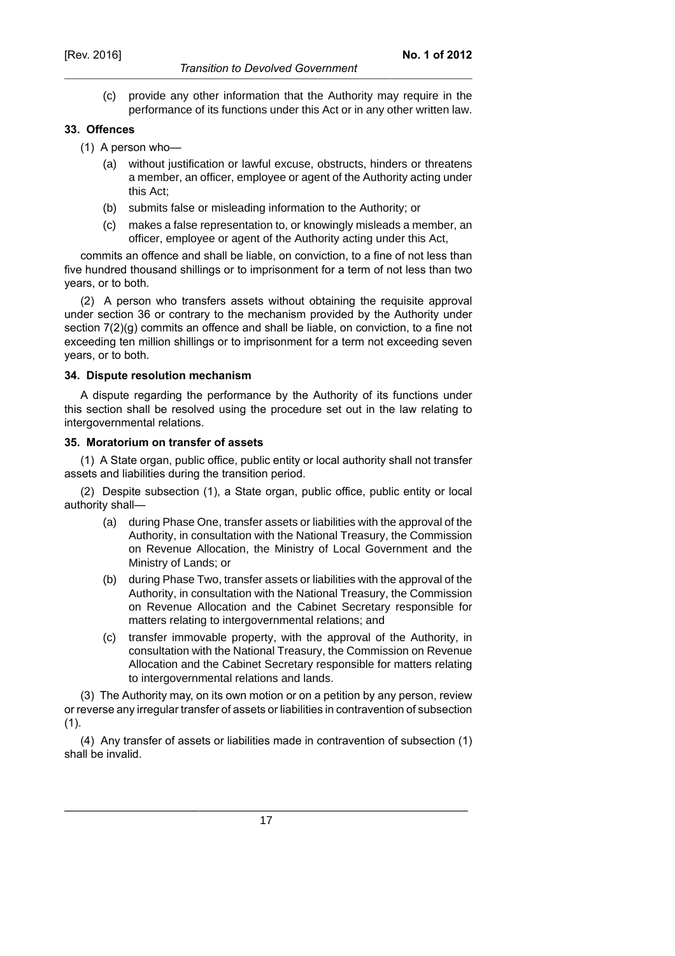### *Transition to Devolved Government*

- **No. 1 of 2012**
- (c) provide any other information that the Authority may require in the performance of its functions under this Act or in any other written law.

### **33. Offences**

- (1) A person who—
	- (a) without justification or lawful excuse, obstructs, hinders or threatens a member, an officer, employee or agent of the Authority acting under this Act;
	- (b) submits false or misleading information to the Authority; or
	- (c) makes a false representation to, or knowingly misleads a member, an officer, employee or agent of the Authority acting under this Act,

commits an offence and shall be liable, on conviction, to a fine of not less than five hundred thousand shillings or to imprisonment for a term of not less than two years, or to both.

(2) A person who transfers assets without obtaining the requisite approval under section 36 or contrary to the mechanism provided by the Authority under section 7(2)(g) commits an offence and shall be liable, on conviction, to a fine not exceeding ten million shillings or to imprisonment for a term not exceeding seven years, or to both.

#### **34. Dispute resolution mechanism**

A dispute regarding the performance by the Authority of its functions under this section shall be resolved using the procedure set out in the law relating to intergovernmental relations.

#### **35. Moratorium on transfer of assets**

(1) A State organ, public office, public entity or local authority shall not transfer assets and liabilities during the transition period.

(2) Despite subsection (1), a State organ, public office, public entity or local authority shall—

- (a) during Phase One, transfer assets or liabilities with the approval of the Authority, in consultation with the National Treasury, the Commission on Revenue Allocation, the Ministry of Local Government and the Ministry of Lands; or
- (b) during Phase Two, transfer assets or liabilities with the approval of the Authority, in consultation with the National Treasury, the Commission on Revenue Allocation and the Cabinet Secretary responsible for matters relating to intergovernmental relations; and
- (c) transfer immovable property, with the approval of the Authority, in consultation with the National Treasury, the Commission on Revenue Allocation and the Cabinet Secretary responsible for matters relating to intergovernmental relations and lands.

(3) The Authority may, on its own motion or on a petition by any person, review or reverse any irregular transfer of assets or liabilities in contravention of subsection  $(1)$ .

(4) Any transfer of assets or liabilities made in contravention of subsection (1) shall be invalid.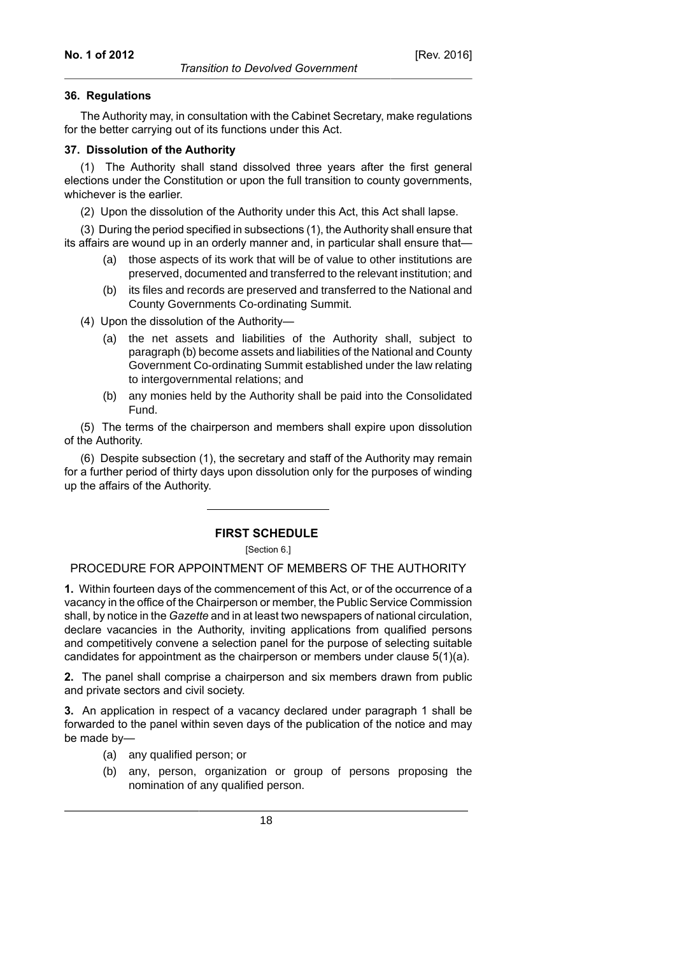#### **36. Regulations**

The Authority may, in consultation with the Cabinet Secretary, make regulations for the better carrying out of its functions under this Act.

#### **37. Dissolution of the Authority**

(1) The Authority shall stand dissolved three years after the first general elections under the Constitution or upon the full transition to county governments, whichever is the earlier.

(2) Upon the dissolution of the Authority under this Act, this Act shall lapse.

(3) During the period specified in subsections (1), the Authority shall ensure that its affairs are wound up in an orderly manner and, in particular shall ensure that—

- (a) those aspects of its work that will be of value to other institutions are preserved, documented and transferred to the relevant institution; and
- (b) its files and records are preserved and transferred to the National and County Governments Co-ordinating Summit.
- (4) Upon the dissolution of the Authority—
	- (a) the net assets and liabilities of the Authority shall, subject to paragraph (b) become assets and liabilities of the National and County Government Co-ordinating Summit established under the law relating to intergovernmental relations; and
	- (b) any monies held by the Authority shall be paid into the Consolidated Fund.

(5) The terms of the chairperson and members shall expire upon dissolution of the Authority.

(6) Despite subsection (1), the secretary and staff of the Authority may remain for a further period of thirty days upon dissolution only for the purposes of winding up the affairs of the Authority.

### **FIRST SCHEDULE**

[Section 6.]

PROCEDURE FOR APPOINTMENT OF MEMBERS OF THE AUTHORITY

**1.** Within fourteen days of the commencement of this Act, or of the occurrence of a vacancy in the office of the Chairperson or member, the Public Service Commission shall, by notice in the *Gazette* and in at least two newspapers of national circulation, declare vacancies in the Authority, inviting applications from qualified persons and competitively convene a selection panel for the purpose of selecting suitable candidates for appointment as the chairperson or members under clause 5(1)(a).

**2.** The panel shall comprise a chairperson and six members drawn from public and private sectors and civil society.

**3.** An application in respect of a vacancy declared under paragraph 1 shall be forwarded to the panel within seven days of the publication of the notice and may be made by—

(a) any qualified person; or

(b) any, person, organization or group of persons proposing the nomination of any qualified person.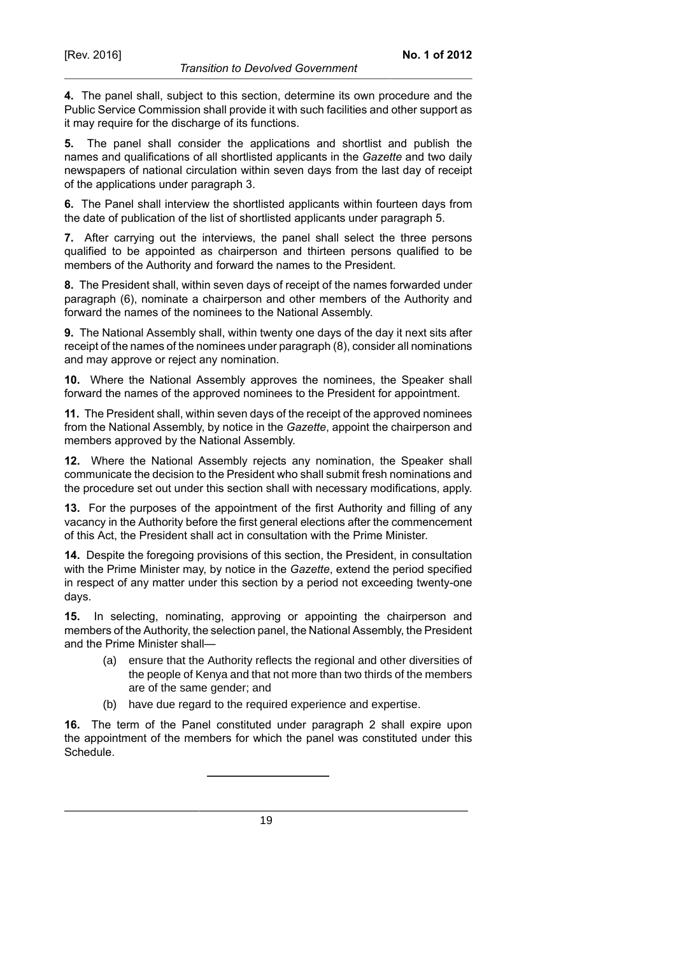**4.** The panel shall, subject to this section, determine its own procedure and the Public Service Commission shall provide it with such facilities and other support as it may require for the discharge of its functions.

**5.** The panel shall consider the applications and shortlist and publish the names and qualifications of all shortlisted applicants in the *Gazette* and two daily newspapers of national circulation within seven days from the last day of receipt of the applications under paragraph 3.

**6.** The Panel shall interview the shortlisted applicants within fourteen days from the date of publication of the list of shortlisted applicants under paragraph 5.

**7.** After carrying out the interviews, the panel shall select the three persons qualified to be appointed as chairperson and thirteen persons qualified to be members of the Authority and forward the names to the President.

**8.** The President shall, within seven days of receipt of the names forwarded under paragraph (6), nominate a chairperson and other members of the Authority and forward the names of the nominees to the National Assembly.

**9.** The National Assembly shall, within twenty one days of the day it next sits after receipt of the names of the nominees under paragraph (8), consider all nominations and may approve or reject any nomination.

**10.** Where the National Assembly approves the nominees, the Speaker shall forward the names of the approved nominees to the President for appointment.

**11.** The President shall, within seven days of the receipt of the approved nominees from the National Assembly, by notice in the *Gazette*, appoint the chairperson and members approved by the National Assembly.

**12.** Where the National Assembly rejects any nomination, the Speaker shall communicate the decision to the President who shall submit fresh nominations and the procedure set out under this section shall with necessary modifications, apply.

**13.** For the purposes of the appointment of the first Authority and filling of any vacancy in the Authority before the first general elections after the commencement of this Act, the President shall act in consultation with the Prime Minister.

**14.** Despite the foregoing provisions of this section, the President, in consultation with the Prime Minister may, by notice in the *Gazette*, extend the period specified in respect of any matter under this section by a period not exceeding twenty-one days.

**15.** In selecting, nominating, approving or appointing the chairperson and members of the Authority, the selection panel, the National Assembly, the President and the Prime Minister shall—

- (a) ensure that the Authority reflects the regional and other diversities of the people of Kenya and that not more than two thirds of the members are of the same gender; and
- (b) have due regard to the required experience and expertise.

**16.** The term of the Panel constituted under paragraph 2 shall expire upon the appointment of the members for which the panel was constituted under this Schedule.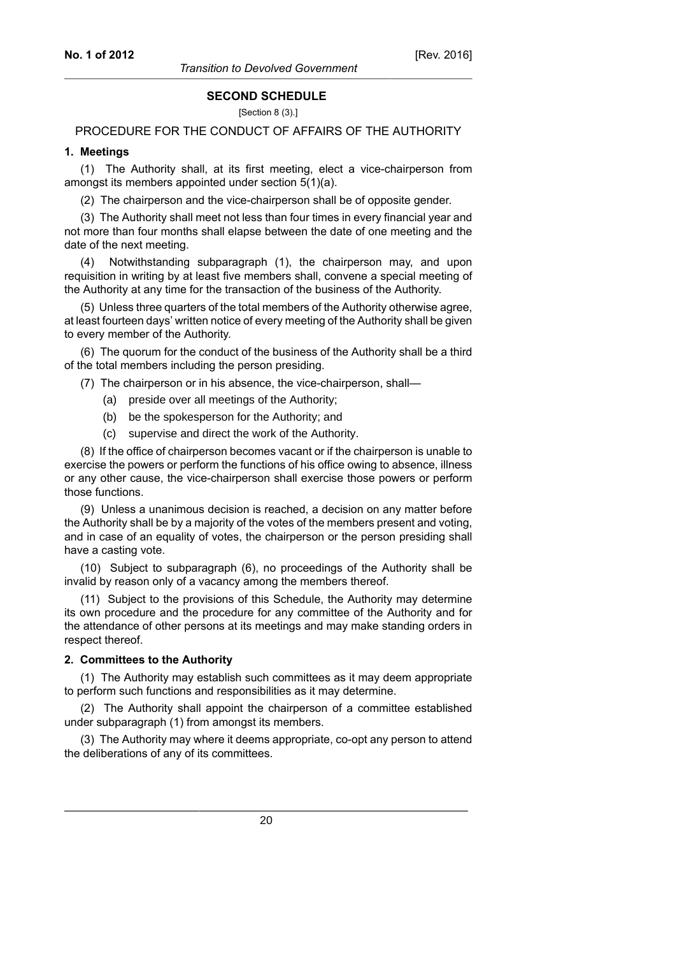#### **SECOND SCHEDULE**

[Section 8 (3).]

# PROCEDURE FOR THE CONDUCT OF AFFAIRS OF THE AUTHORITY

#### **1. Meetings**

(1) The Authority shall, at its first meeting, elect a vice-chairperson from amongst its members appointed under section 5(1)(a).

(2) The chairperson and the vice-chairperson shall be of opposite gender.

(3) The Authority shall meet not less than four times in every financial year and not more than four months shall elapse between the date of one meeting and the date of the next meeting.

(4) Notwithstanding subparagraph (1), the chairperson may, and upon requisition in writing by at least five members shall, convene a special meeting of the Authority at any time for the transaction of the business of the Authority.

(5) Unless three quarters of the total members of the Authority otherwise agree, at least fourteen days' written notice of every meeting of the Authority shall be given to every member of the Authority.

(6) The quorum for the conduct of the business of the Authority shall be a third of the total members including the person presiding.

(7) The chairperson or in his absence, the vice-chairperson, shall—

- (a) preside over all meetings of the Authority;
- (b) be the spokesperson for the Authority; and
- (c) supervise and direct the work of the Authority.

(8) If the office of chairperson becomes vacant or if the chairperson is unable to exercise the powers or perform the functions of his office owing to absence, illness or any other cause, the vice-chairperson shall exercise those powers or perform those functions.

(9) Unless a unanimous decision is reached, a decision on any matter before the Authority shall be by a majority of the votes of the members present and voting, and in case of an equality of votes, the chairperson or the person presiding shall have a casting vote.

(10) Subject to subparagraph (6), no proceedings of the Authority shall be invalid by reason only of a vacancy among the members thereof.

(11) Subject to the provisions of this Schedule, the Authority may determine its own procedure and the procedure for any committee of the Authority and for the attendance of other persons at its meetings and may make standing orders in respect thereof.

#### **2. Committees to the Authority**

(1) The Authority may establish such committees as it may deem appropriate to perform such functions and responsibilities as it may determine.

(2) The Authority shall appoint the chairperson of a committee established under subparagraph (1) from amongst its members.

(3) The Authority may where it deems appropriate, co-opt any person to attend the deliberations of any of its committees.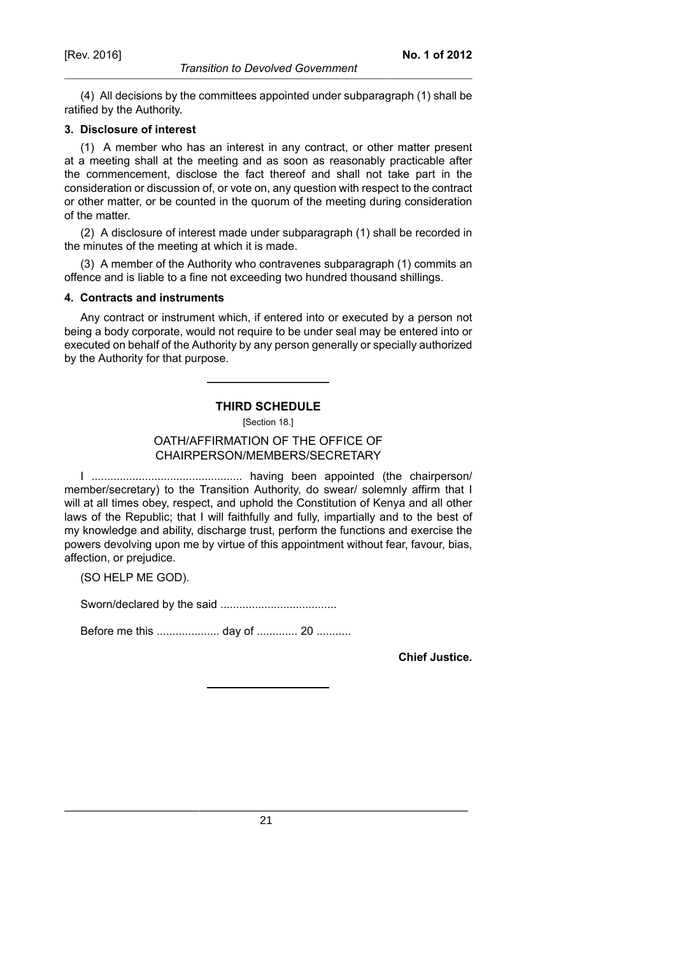(4) All decisions by the committees appointed under subparagraph (1) shall be ratified by the Authority.

#### **3. Disclosure of interest**

(1) A member who has an interest in any contract, or other matter present at a meeting shall at the meeting and as soon as reasonably practicable after the commencement, disclose the fact thereof and shall not take part in the consideration or discussion of, or vote on, any question with respect to the contract or other matter, or be counted in the quorum of the meeting during consideration of the matter.

(2) A disclosure of interest made under subparagraph (1) shall be recorded in the minutes of the meeting at which it is made.

(3) A member of the Authority who contravenes subparagraph (1) commits an offence and is liable to a fine not exceeding two hundred thousand shillings.

#### **4. Contracts and instruments**

Any contract or instrument which, if entered into or executed by a person not being a body corporate, would not require to be under seal may be entered into or executed on behalf of the Authority by any person generally or specially authorized by the Authority for that purpose.

#### **THIRD SCHEDULE**

[Section 18.]

# OATH/AFFIRMATION OF THE OFFICE OF CHAIRPERSON/MEMBERS/SECRETARY

I ................................................ having been appointed (the chairperson/ member/secretary) to the Transition Authority, do swear/ solemnly affirm that I will at all times obey, respect, and uphold the Constitution of Kenya and all other laws of the Republic; that I will faithfully and fully, impartially and to the best of my knowledge and ability, discharge trust, perform the functions and exercise the powers devolving upon me by virtue of this appointment without fear, favour, bias, affection, or prejudice.

(SO HELP ME GOD).

Sworn/declared by the said .....................................

Before me this .................... day of ............. 20 ...........

**Chief Justice.**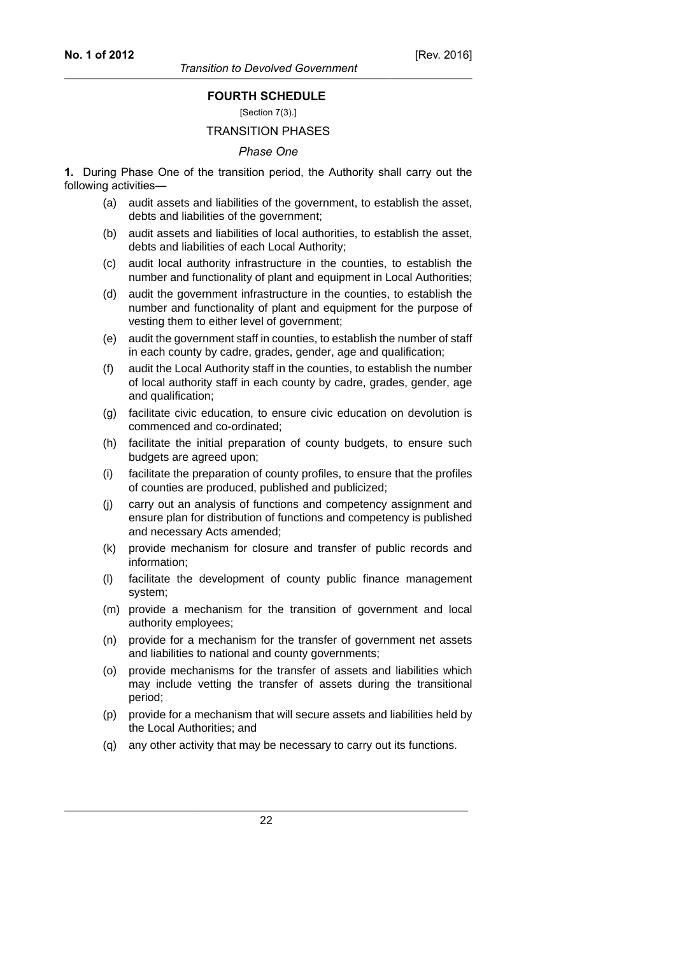[Section 7(3).]

# TRANSITION PHASES

#### *Phase One*

**1.** During Phase One of the transition period, the Authority shall carry out the following activities—

- (a) audit assets and liabilities of the government, to establish the asset, debts and liabilities of the government;
- (b) audit assets and liabilities of local authorities, to establish the asset, debts and liabilities of each Local Authority;
- (c) audit local authority infrastructure in the counties, to establish the number and functionality of plant and equipment in Local Authorities;
- (d) audit the government infrastructure in the counties, to establish the number and functionality of plant and equipment for the purpose of vesting them to either level of government;
- (e) audit the government staff in counties, to establish the number of staff in each county by cadre, grades, gender, age and qualification;
- (f) audit the Local Authority staff in the counties, to establish the number of local authority staff in each county by cadre, grades, gender, age and qualification;
- (g) facilitate civic education, to ensure civic education on devolution is commenced and co-ordinated;
- (h) facilitate the initial preparation of county budgets, to ensure such budgets are agreed upon;
- (i) facilitate the preparation of county profiles, to ensure that the profiles of counties are produced, published and publicized;
- (j) carry out an analysis of functions and competency assignment and ensure plan for distribution of functions and competency is published and necessary Acts amended;
- (k) provide mechanism for closure and transfer of public records and information;
- (l) facilitate the development of county public finance management system;
- (m) provide a mechanism for the transition of government and local authority employees;
- (n) provide for a mechanism for the transfer of government net assets and liabilities to national and county governments;
- (o) provide mechanisms for the transfer of assets and liabilities which may include vetting the transfer of assets during the transitional period;
- (p) provide for a mechanism that will secure assets and liabilities held by the Local Authorities; and
- (q) any other activity that may be necessary to carry out its functions.